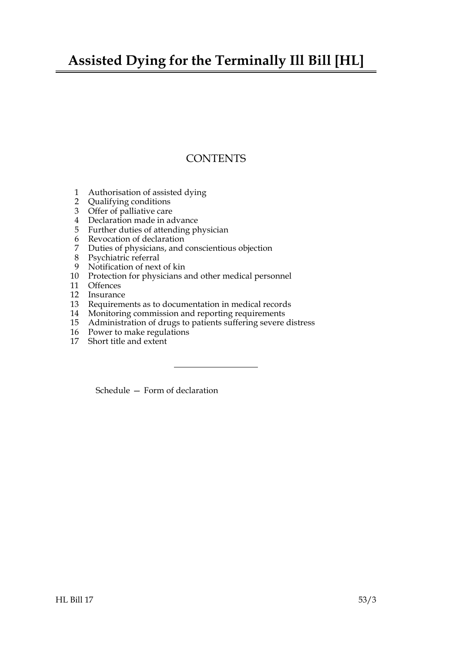# **Assisted Dying for the Terminally Ill Bill [HL]**

# **CONTENTS**

- 1 Authorisation of assisted dying
- 2 Qualifying conditions
- 3 Offer of palliative care
- 4 Declaration made in advance
- 5 Further duties of attending physician
- 6 Revocation of declaration
- 7 Duties of physicians, and conscientious objection
- 8 Psychiatric referral
- 9 Notification of next of kin
- 10 Protection for physicians and other medical personnel
- 11 Offences
- 12 Insurance
- 13 Requirements as to documentation in medical records
- 14 Monitoring commission and reporting requirements
- 15 Administration of drugs to patients suffering severe distress
- 16 Power to make regulations
- 17 Short title and extent

Schedule — Form of declaration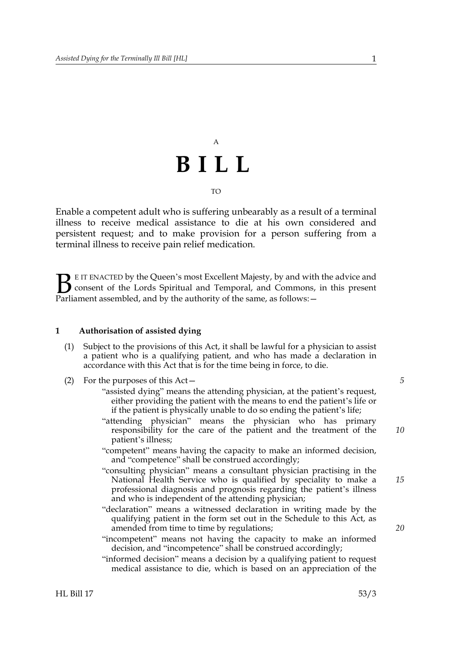# A **BILL** TO

Enable a competent adult who is suffering unbearably as a result of a terminal illness to receive medical assistance to die at his own considered and persistent request; and to make provision for a person suffering from a terminal illness to receive pain relief medication.

E IT ENACTED by the Queen's most Excellent Majesty, by and with the advice and consent of the Lords Spiritual and Temporal, and Commons, in this present **B** E IT ENACTED by the Queen's most Excellent Majesty, by and with consent of the Lords Spiritual and Temporal, and Commons, Parliament assembled, and by the authority of the same, as follows:

#### **1 Authorisation of assisted dying**

- (1) Subject to the provisions of this Act, it shall be lawful for a physician to assist a patient who is a qualifying patient, and who has made a declaration in accordance with this Act that is for the time being in force, to die.
- (2) For the purposes of this Act—
	- "assisted dying" means the attending physician, at the patient's request, either providing the patient with the means to end the patient's life or if the patient is physically unable to do so ending the patient's life;
	- "attending physician" means the physician who has primary responsibility for the care of the patient and the treatment of the patient's illness;
	- "competent" means having the capacity to make an informed decision, and "competence" shall be construed accordingly;
	- "consulting physician" means a consultant physician practising in the National Health Service who is qualified by speciality to make a professional diagnosis and prognosis regarding the patient's illness and who is independent of the attending physician;
	- "declaration" means a witnessed declaration in writing made by the qualifying patient in the form set out in the Schedule to this Act, as amended from time to time by regulations;
	- "incompetent" means not having the capacity to make an informed decision, and "incompetence" shall be construed accordingly;
	- "informed decision" means a decision by a qualifying patient to request medical assistance to die, which is based on an appreciation of the

*5*

*10*

*20*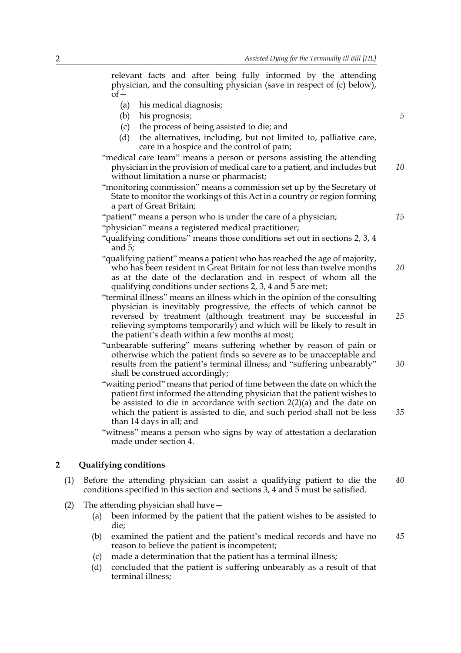relevant facts and after being fully informed by the attending physician, and the consulting physician (save in respect of (c) below),  $of$ 

- (a) his medical diagnosis;
- (b) his prognosis;
- (c) the process of being assisted to die; and
- (d) the alternatives, including, but not limited to, palliative care, care in a hospice and the control of pain;
- "medical care team" means a person or persons assisting the attending physician in the provision of medical care to a patient, and includes but without limitation a nurse or pharmacist; *10*
- "monitoring commission" means a commission set up by the Secretary of State to monitor the workings of this Act in a country or region forming a part of Great Britain;
- "patient" means a person who is under the care of a physician;
- "physician" means a registered medical practitioner;
- "qualifying conditions" means those conditions set out in sections 2, 3, 4 and 5;
- "qualifying patient" means a patient who has reached the age of majority, who has been resident in Great Britain for not less than twelve months as at the date of the declaration and in respect of whom all the qualifying conditions under sections 2, 3, 4 and 5 are met; *20*
- "terminal illness" means an illness which in the opinion of the consulting physician is inevitably progressive, the effects of which cannot be reversed by treatment (although treatment may be successful in relieving symptoms temporarily) and which will be likely to result in the patient's death within a few months at most;
- "unbearable suffering" means suffering whether by reason of pain or otherwise which the patient finds so severe as to be unacceptable and results from the patient's terminal illness; and "suffering unbearably" shall be construed accordingly;
- "waiting period" means that period of time between the date on which the patient first informed the attending physician that the patient wishes to be assisted to die in accordance with section 2(2)(a) and the date on which the patient is assisted to die, and such period shall not be less than 14 days in all; and
- "witness" means a person who signs by way of attestation a declaration made under section 4.

#### **2 Qualifying conditions**

- (1) Before the attending physician can assist a qualifying patient to die the conditions specified in this section and sections 3, 4 and 5 must be satisfied. *40*
- (2) The attending physician shall have—
	- (a) been informed by the patient that the patient wishes to be assisted to die;
	- (b) examined the patient and the patient's medical records and have no reason to believe the patient is incompetent; *45*
	- (c) made a determination that the patient has a terminal illness;
	- (d) concluded that the patient is suffering unbearably as a result of that terminal illness;

*5*

*15*

*25*

*30*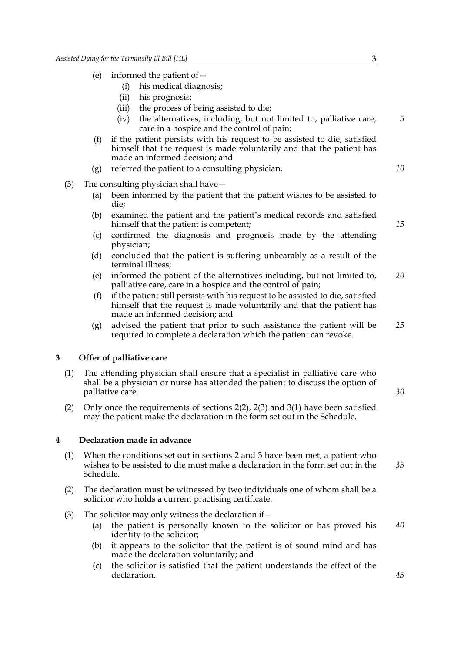- (e) informed the patient of  $-$ 
	- (i) his medical diagnosis;
	- (ii) his prognosis;
	- (iii) the process of being assisted to die;
	- (iv) the alternatives, including, but not limited to, palliative care, care in a hospice and the control of pain;
- (f) if the patient persists with his request to be assisted to die, satisfied himself that the request is made voluntarily and that the patient has made an informed decision; and
- (g) referred the patient to a consulting physician.
- (3) The consulting physician shall have—
	- (a) been informed by the patient that the patient wishes to be assisted to die;
	- (b) examined the patient and the patient's medical records and satisfied himself that the patient is competent;
	- (c) confirmed the diagnosis and prognosis made by the attending physician;
	- (d) concluded that the patient is suffering unbearably as a result of the terminal illness;
	- (e) informed the patient of the alternatives including, but not limited to, palliative care, care in a hospice and the control of pain; *20*
	- (f) if the patient still persists with his request to be assisted to die, satisfied himself that the request is made voluntarily and that the patient has made an informed decision; and
	- (g) advised the patient that prior to such assistance the patient will be required to complete a declaration which the patient can revoke. *25*

#### **3 Offer of palliative care**

- (1) The attending physician shall ensure that a specialist in palliative care who shall be a physician or nurse has attended the patient to discuss the option of palliative care.
- (2) Only once the requirements of sections 2(2), 2(3) and 3(1) have been satisfied may the patient make the declaration in the form set out in the Schedule.

# **4 Declaration made in advance**

- (1) When the conditions set out in sections 2 and 3 have been met, a patient who wishes to be assisted to die must make a declaration in the form set out in the Schedule.
- (2) The declaration must be witnessed by two individuals one of whom shall be a solicitor who holds a current practising certificate.
- (3) The solicitor may only witness the declaration if—
	- (a) the patient is personally known to the solicitor or has proved his identity to the solicitor; *40*
	- (b) it appears to the solicitor that the patient is of sound mind and has made the declaration voluntarily; and
	- (c) the solicitor is satisfied that the patient understands the effect of the declaration.

*15*

*5*

*10*

*30*

*35*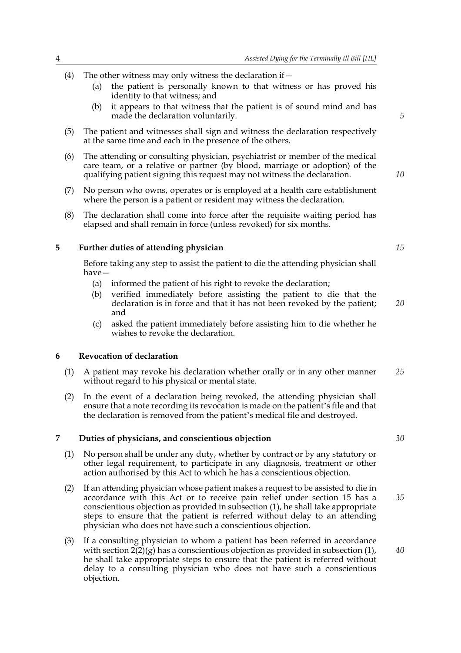- (4) The other witness may only witness the declaration if  $-$ 
	- (a) the patient is personally known to that witness or has proved his identity to that witness; and
	- (b) it appears to that witness that the patient is of sound mind and has made the declaration voluntarily.
- (5) The patient and witnesses shall sign and witness the declaration respectively at the same time and each in the presence of the others.
- (6) The attending or consulting physician, psychiatrist or member of the medical care team, or a relative or partner (by blood, marriage or adoption) of the qualifying patient signing this request may not witness the declaration.
- (7) No person who owns, operates or is employed at a health care establishment where the person is a patient or resident may witness the declaration.
- (8) The declaration shall come into force after the requisite waiting period has elapsed and shall remain in force (unless revoked) for six months.

### **5 Further duties of attending physician**

Before taking any step to assist the patient to die the attending physician shall have—

- (a) informed the patient of his right to revoke the declaration;
- (b) verified immediately before assisting the patient to die that the declaration is in force and that it has not been revoked by the patient; and
- (c) asked the patient immediately before assisting him to die whether he wishes to revoke the declaration.

# **6 Revocation of declaration**

- (1) A patient may revoke his declaration whether orally or in any other manner without regard to his physical or mental state. *25*
- (2) In the event of a declaration being revoked, the attending physician shall ensure that a note recording its revocation is made on the patient's file and that the declaration is removed from the patient's medical file and destroyed.

### **7 Duties of physicians, and conscientious objection**

- (1) No person shall be under any duty, whether by contract or by any statutory or other legal requirement, to participate in any diagnosis, treatment or other action authorised by this Act to which he has a conscientious objection.
- (2) If an attending physician whose patient makes a request to be assisted to die in accordance with this Act or to receive pain relief under section 15 has a conscientious objection as provided in subsection (1), he shall take appropriate steps to ensure that the patient is referred without delay to an attending physician who does not have such a conscientious objection. *35*
- (3) If a consulting physician to whom a patient has been referred in accordance with section  $2(2)(g)$  has a conscientious objection as provided in subsection (1), he shall take appropriate steps to ensure that the patient is referred without delay to a consulting physician who does not have such a conscientious objection.

*10*

*5*

*15*

*30*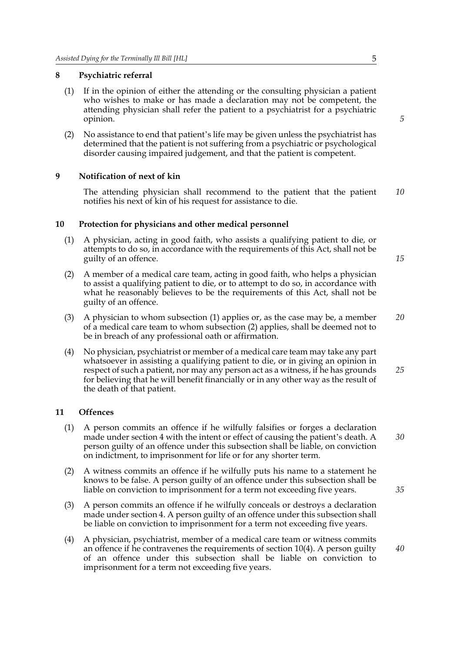#### **8 Psychiatric referral**

- (1) If in the opinion of either the attending or the consulting physician a patient who wishes to make or has made a declaration may not be competent, the attending physician shall refer the patient to a psychiatrist for a psychiatric opinion.
- (2) No assistance to end that patient's life may be given unless the psychiatrist has determined that the patient is not suffering from a psychiatric or psychological disorder causing impaired judgement, and that the patient is competent.

### **9 Notification of next of kin**

The attending physician shall recommend to the patient that the patient notifies his next of kin of his request for assistance to die. *10*

#### **10 Protection for physicians and other medical personnel**

- (1) A physician, acting in good faith, who assists a qualifying patient to die, or attempts to do so, in accordance with the requirements of this Act, shall not be guilty of an offence.
- (2) A member of a medical care team, acting in good faith, who helps a physician to assist a qualifying patient to die, or to attempt to do so, in accordance with what he reasonably believes to be the requirements of this Act, shall not be guilty of an offence.
- (3) A physician to whom subsection (1) applies or, as the case may be, a member of a medical care team to whom subsection (2) applies, shall be deemed not to be in breach of any professional oath or affirmation. *20*
- (4) No physician, psychiatrist or member of a medical care team may take any part whatsoever in assisting a qualifying patient to die, or in giving an opinion in respect of such a patient, nor may any person act as a witness, if he has grounds for believing that he will benefit financially or in any other way as the result of the death of that patient. *25*

### **11 Offences**

- (1) A person commits an offence if he wilfully falsifies or forges a declaration made under section 4 with the intent or effect of causing the patient's death. A person guilty of an offence under this subsection shall be liable, on conviction on indictment, to imprisonment for life or for any shorter term.
- (2) A witness commits an offence if he wilfully puts his name to a statement he knows to be false. A person guilty of an offence under this subsection shall be liable on conviction to imprisonment for a term not exceeding five years.
- (3) A person commits an offence if he wilfully conceals or destroys a declaration made under section 4. A person guilty of an offence under this subsection shall be liable on conviction to imprisonment for a term not exceeding five years.
- (4) A physician, psychiatrist, member of a medical care team or witness commits an offence if he contravenes the requirements of section 10(4). A person guilty of an offence under this subsection shall be liable on conviction to imprisonment for a term not exceeding five years.

*5*

*15*

*30*

*35*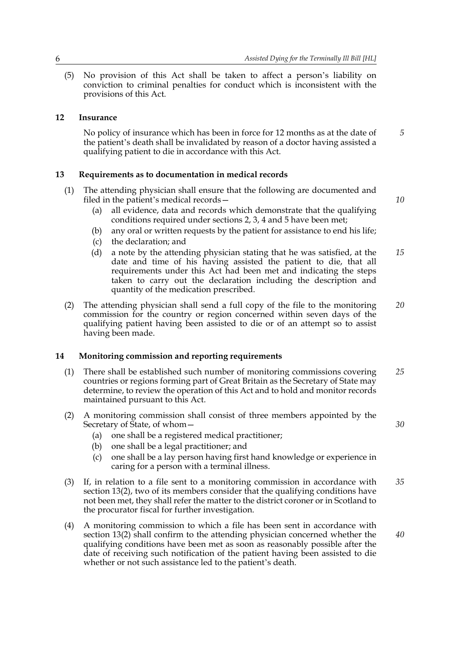(5) No provision of this Act shall be taken to affect a person's liability on conviction to criminal penalties for conduct which is inconsistent with the provisions of this Act.

# **12 Insurance**

No policy of insurance which has been in force for 12 months as at the date of the patient's death shall be invalidated by reason of a doctor having assisted a qualifying patient to die in accordance with this Act.

# **13 Requirements as to documentation in medical records**

(1) The attending physician shall ensure that the following are documented and filed in the patient's medical records—

*10*

*30*

*5*

- (a) all evidence, data and records which demonstrate that the qualifying conditions required under sections 2, 3, 4 and 5 have been met;
- (b) any oral or written requests by the patient for assistance to end his life;
- (c) the declaration; and
- (d) a note by the attending physician stating that he was satisfied, at the date and time of his having assisted the patient to die, that all requirements under this Act had been met and indicating the steps taken to carry out the declaration including the description and quantity of the medication prescribed. *15*
- (2) The attending physician shall send a full copy of the file to the monitoring commission for the country or region concerned within seven days of the qualifying patient having been assisted to die or of an attempt so to assist having been made. *20*

#### **14 Monitoring commission and reporting requirements**

- (1) There shall be established such number of monitoring commissions covering countries or regions forming part of Great Britain as the Secretary of State may determine, to review the operation of this Act and to hold and monitor records maintained pursuant to this Act. *25*
- (2) A monitoring commission shall consist of three members appointed by the Secretary of State, of whom—
	- (a) one shall be a registered medical practitioner;
	- (b) one shall be a legal practitioner; and
	- (c) one shall be a lay person having first hand knowledge or experience in caring for a person with a terminal illness.
- (3) If, in relation to a file sent to a monitoring commission in accordance with section 13(2), two of its members consider that the qualifying conditions have not been met, they shall refer the matter to the district coroner or in Scotland to the procurator fiscal for further investigation. *35*
- (4) A monitoring commission to which a file has been sent in accordance with section 13(2) shall confirm to the attending physician concerned whether the qualifying conditions have been met as soon as reasonably possible after the date of receiving such notification of the patient having been assisted to die whether or not such assistance led to the patient's death. *40*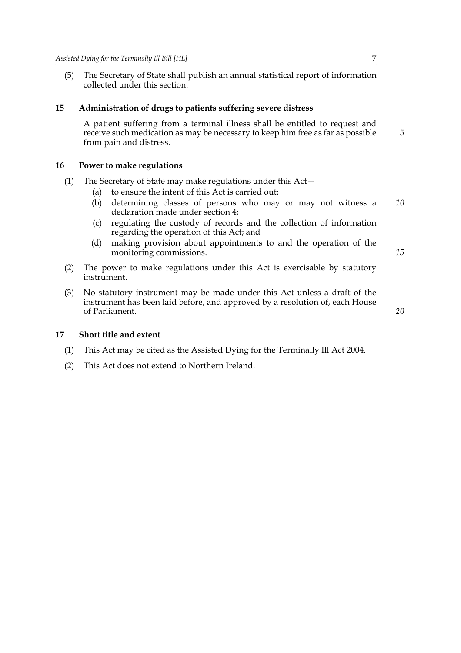(5) The Secretary of State shall publish an annual statistical report of information collected under this section.

#### **15 Administration of drugs to patients suffering severe distress**

A patient suffering from a terminal illness shall be entitled to request and receive such medication as may be necessary to keep him free as far as possible from pain and distress.

#### **16 Power to make regulations**

- (1) The Secretary of State may make regulations under this Act—
	- (a) to ensure the intent of this Act is carried out;
	- (b) determining classes of persons who may or may not witness a declaration made under section 4; *10*
	- (c) regulating the custody of records and the collection of information regarding the operation of this Act; and
	- (d) making provision about appointments to and the operation of the monitoring commissions.

*15*

*20*

*5*

- (2) The power to make regulations under this Act is exercisable by statutory instrument.
- (3) No statutory instrument may be made under this Act unless a draft of the instrument has been laid before, and approved by a resolution of, each House of Parliament.

**17 Short title and extent**

- (1) This Act may be cited as the Assisted Dying for the Terminally Ill Act 2004.
- (2) This Act does not extend to Northern Ireland.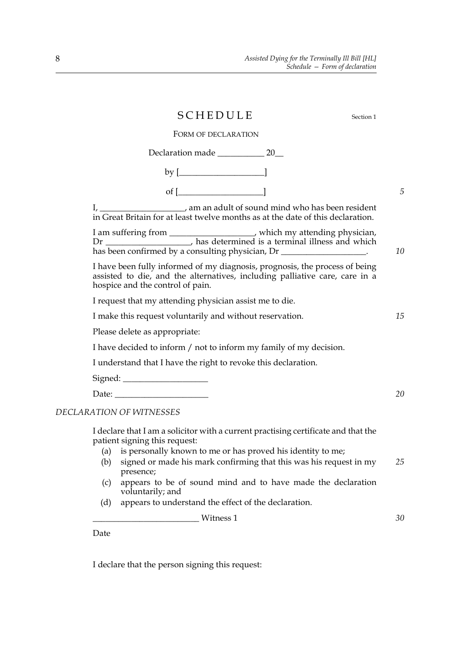|                                                                                                                                                                                                | SCHEDULE                                                                                                                                                                                                                                                                                                                                                                        |  |  |    |
|------------------------------------------------------------------------------------------------------------------------------------------------------------------------------------------------|---------------------------------------------------------------------------------------------------------------------------------------------------------------------------------------------------------------------------------------------------------------------------------------------------------------------------------------------------------------------------------|--|--|----|
| FORM OF DECLARATION                                                                                                                                                                            |                                                                                                                                                                                                                                                                                                                                                                                 |  |  |    |
|                                                                                                                                                                                                |                                                                                                                                                                                                                                                                                                                                                                                 |  |  |    |
|                                                                                                                                                                                                | by $[\begin{array}{c} \rule[1mm]{1mm}{1.2mm} \rule[1mm]{1mm}{1.2mm} \rule[1mm]{1mm}{1.2mm} \rule[1mm]{1mm}{1.2mm} \rule[1mm]{1mm}{1.2mm} \rule[1mm]{1mm}{1.2mm} \rule[1mm]{1mm}{1.2mm} \rule[1mm]{1mm}{1.2mm} \rule[1mm]{1mm}{1.2mm} \rule[1mm]{1mm}{1.2mm} \rule[1mm]{1mm}{1.2mm} \rule[1mm]{1mm}{1.2mm} \rule[1mm]{1mm}{1.2mm} \rule[1mm]{1mm}{1.2mm} \rule[1mm]{1mm}{1.2mm}$ |  |  |    |
|                                                                                                                                                                                                | of $[\_\_]$                                                                                                                                                                                                                                                                                                                                                                     |  |  | 5  |
|                                                                                                                                                                                                | I, ______________________, am an adult of sound mind who has been resident<br>in Great Britain for at least twelve months as at the date of this declaration.                                                                                                                                                                                                                   |  |  |    |
|                                                                                                                                                                                                | I am suffering from __________________, which my attending physician, Dr ______________, has determined is a terminal illness and which<br>has been confirmed by a consulting physician, Dr ___________________.                                                                                                                                                                |  |  | 10 |
| I have been fully informed of my diagnosis, prognosis, the process of being<br>assisted to die, and the alternatives, including palliative care, care in a<br>hospice and the control of pain. |                                                                                                                                                                                                                                                                                                                                                                                 |  |  |    |
|                                                                                                                                                                                                | I request that my attending physician assist me to die.                                                                                                                                                                                                                                                                                                                         |  |  |    |
|                                                                                                                                                                                                | I make this request voluntarily and without reservation.                                                                                                                                                                                                                                                                                                                        |  |  |    |
|                                                                                                                                                                                                | Please delete as appropriate:                                                                                                                                                                                                                                                                                                                                                   |  |  |    |
|                                                                                                                                                                                                | I have decided to inform / not to inform my family of my decision.                                                                                                                                                                                                                                                                                                              |  |  |    |
|                                                                                                                                                                                                | I understand that I have the right to revoke this declaration.                                                                                                                                                                                                                                                                                                                  |  |  |    |
|                                                                                                                                                                                                |                                                                                                                                                                                                                                                                                                                                                                                 |  |  |    |
|                                                                                                                                                                                                |                                                                                                                                                                                                                                                                                                                                                                                 |  |  | 20 |
| DECLARATION OF WITNESSES                                                                                                                                                                       |                                                                                                                                                                                                                                                                                                                                                                                 |  |  |    |
|                                                                                                                                                                                                | I declare that I am a solicitor with a current practising certificate and that the<br>patient signing this request:                                                                                                                                                                                                                                                             |  |  |    |
|                                                                                                                                                                                                | (a) is personally known to me or has proved his identity to me;                                                                                                                                                                                                                                                                                                                 |  |  |    |
| (b)                                                                                                                                                                                            | signed or made his mark confirming that this was his request in my<br>presence;                                                                                                                                                                                                                                                                                                 |  |  | 25 |
| (c)                                                                                                                                                                                            | appears to be of sound mind and to have made the declaration<br>voluntarily; and                                                                                                                                                                                                                                                                                                |  |  |    |
| (d)                                                                                                                                                                                            | appears to understand the effect of the declaration.                                                                                                                                                                                                                                                                                                                            |  |  |    |
|                                                                                                                                                                                                | Witness 1                                                                                                                                                                                                                                                                                                                                                                       |  |  | 30 |

Date

I declare that the person signing this request: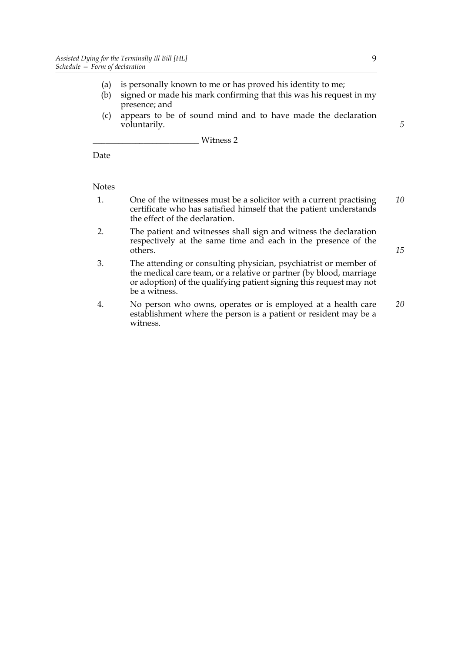- (a) is personally known to me or has proved his identity to me;
- (b) signed or made his mark confirming that this was his request in my presence; and
- (c) appears to be of sound mind and to have made the declaration voluntarily.

\_\_\_\_\_\_\_\_\_\_\_\_\_\_\_\_\_\_\_\_\_\_\_\_\_ Witness 2

Date

**Notes** 

- 1. One of the witnesses must be a solicitor with a current practising certificate who has satisfied himself that the patient understands the effect of the declaration. *10*
- 2. The patient and witnesses shall sign and witness the declaration respectively at the same time and each in the presence of the others.
- 3. The attending or consulting physician, psychiatrist or member of the medical care team, or a relative or partner (by blood, marriage or adoption) of the qualifying patient signing this request may not be a witness.
- 4. No person who owns, operates or is employed at a health care establishment where the person is a patient or resident may be a witness. *20*

9

*5*